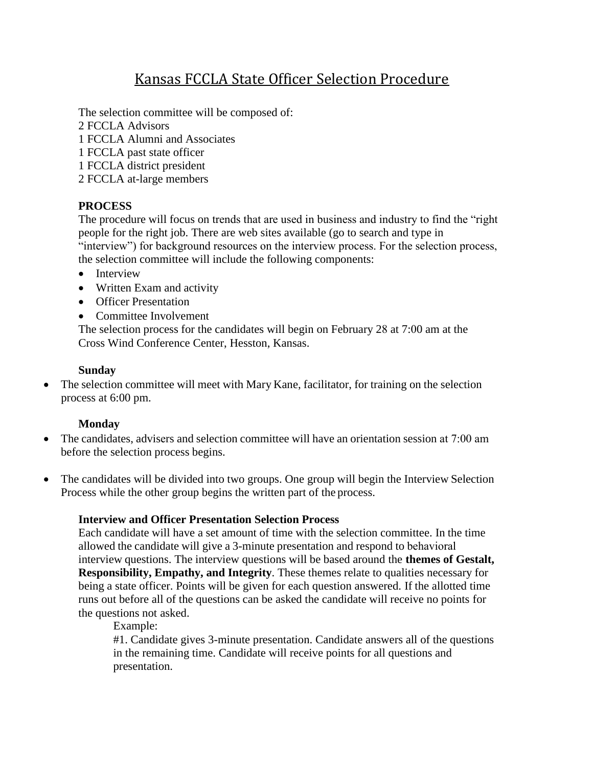# Kansas FCCLA State Officer Selection Procedure

The selection committee will be composed of:

2 FCCLA Advisors

- 1 FCCLA Alumni and Associates
- 1 FCCLA past state officer
- 1 FCCLA district president
- 2 FCCLA at-large members

## **PROCESS**

The procedure will focus on trends that are used in business and industry to find the "right people for the right job. There are web sites available (go to search and type in "interview") for background resources on the interview process. For the selection process, the selection committee will include the following components:

- Interview
- Written Exam and activity
- Officer Presentation
- Committee Involvement

The selection process for the candidates will begin on February 28 at 7:00 am at the Cross Wind Conference Center, Hesston, Kansas.

#### **Sunday**

• The selection committee will meet with Mary Kane, facilitator, for training on the selection process at 6:00 pm.

### **Monday**

- The candidates, advisers and selection committee will have an orientation session at 7:00 am before the selection process begins.
- The candidates will be divided into two groups. One group will begin the Interview Selection Process while the other group begins the written part of the process.

### **Interview and Officer Presentation Selection Process**

Each candidate will have a set amount of time with the selection committee. In the time allowed the candidate will give a 3-minute presentation and respond to behavioral interview questions. The interview questions will be based around the **themes of Gestalt, Responsibility, Empathy, and Integrity**. These themes relate to qualities necessary for being a state officer. Points will be given for each question answered. If the allotted time runs out before all of the questions can be asked the candidate will receive no points for the questions not asked.

Example:

#1. Candidate gives 3-minute presentation. Candidate answers all of the questions in the remaining time. Candidate will receive points for all questions and presentation.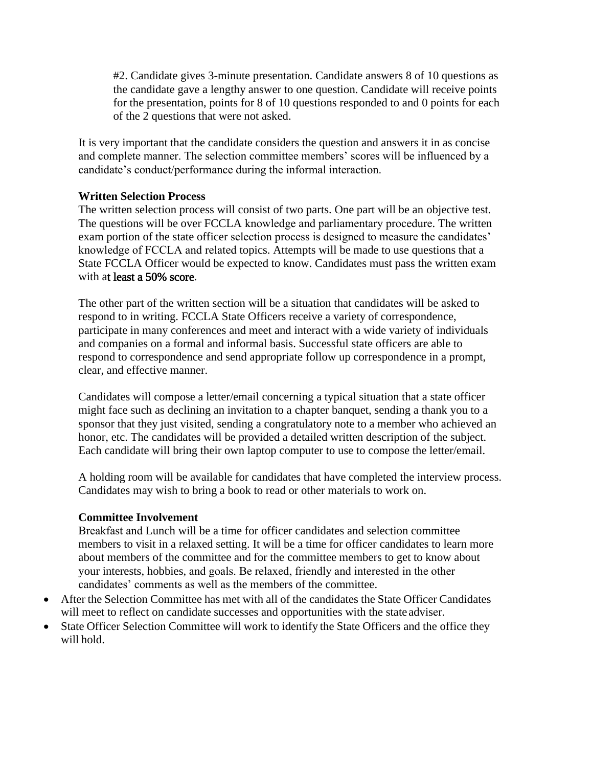#2. Candidate gives 3-minute presentation. Candidate answers 8 of 10 questions as the candidate gave a lengthy answer to one question. Candidate will receive points for the presentation, points for 8 of 10 questions responded to and 0 points for each of the 2 questions that were not asked.

It is very important that the candidate considers the question and answers it in as concise and complete manner. The selection committee members' scores will be influenced by a candidate's conduct/performance during the informal interaction.

#### **Written Selection Process**

The written selection process will consist of two parts. One part will be an objective test. The questions will be over FCCLA knowledge and parliamentary procedure. The written exam portion of the state officer selection process is designed to measure the candidates' knowledge of FCCLA and related topics. Attempts will be made to use questions that a State FCCLA Officer would be expected to know. Candidates must pass the written exam with at least a 50% score.

The other part of the written section will be a situation that candidates will be asked to respond to in writing. FCCLA State Officers receive a variety of correspondence, participate in many conferences and meet and interact with a wide variety of individuals and companies on a formal and informal basis. Successful state officers are able to respond to correspondence and send appropriate follow up correspondence in a prompt, clear, and effective manner.

Candidates will compose a letter/email concerning a typical situation that a state officer might face such as declining an invitation to a chapter banquet, sending a thank you to a sponsor that they just visited, sending a congratulatory note to a member who achieved an honor, etc. The candidates will be provided a detailed written description of the subject. Each candidate will bring their own laptop computer to use to compose the letter/email.

A holding room will be available for candidates that have completed the interview process. Candidates may wish to bring a book to read or other materials to work on.

#### **Committee Involvement**

Breakfast and Lunch will be a time for officer candidates and selection committee members to visit in a relaxed setting. It will be a time for officer candidates to learn more about members of the committee and for the committee members to get to know about your interests, hobbies, and goals. Be relaxed, friendly and interested in the other candidates' comments as well as the members of the committee.

- After the Selection Committee has met with all of the candidates the State Officer Candidates will meet to reflect on candidate successes and opportunities with the state adviser.
- State Officer Selection Committee will work to identify the State Officers and the office they will hold.